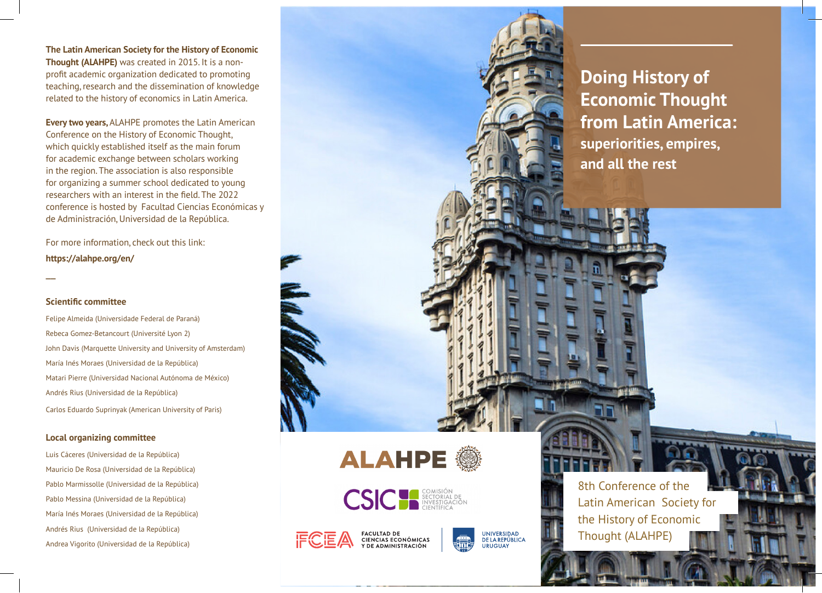**The Latin American Society for the History of Economic Thought (ALAHPE)** was created in 2015. It is a nonprofit academic organization dedicated to promoting teaching, research and the dissemination of knowledge related to the history of economics in Latin America.

**Every two years,** ALAHPE promotes the Latin American Conference on the History of Economic Thought, which quickly established itself as the main forum for academic exchange between scholars working in the region. The association is also responsible for organizing a summer school dedicated to young researchers with an interest in the field. The 2022 conference is hosted by Facultad Ciencias Económicas y de Administración, Universidad de la República.

For more information, check out this link: **https://alahpe.org/en/**

#### **Scientific committee**

 $\overline{a}$ 

Felipe Almeida (Universidade Federal de Paraná) Rebeca Gomez-Betancourt (Université Lyon 2) John Davis (Marquette University and University of Amsterdam) María Inés Moraes (Universidad de la República) Matari Pierre (Universidad Nacional Autónoma de México) Andrés Rius (Universidad de la República) Carlos Eduardo Suprinyak (American University of Paris)

#### **Local organizing committee**

Luis Cáceres (Universidad de la República) Mauricio De Rosa (Universidad de la República) Pablo Marmissolle (Universidad de la República) Pablo Messina (Universidad de la República) María Inés Moraes (Universidad de la República) Andrés Rius (Universidad de la República) Andrea Vigorito (Universidad de la República)

**Doing History of Economic Thought from Latin America: superiorities, empires, and all the rest** 

**ALAHPE** 



FACULTAD DE<br>CIENCIAS ECONÓMICAS<br>Y DE ADMINISTRACIÓN



8th Conference of the Latin American Society for the History of Economic Thought (ALAHPE)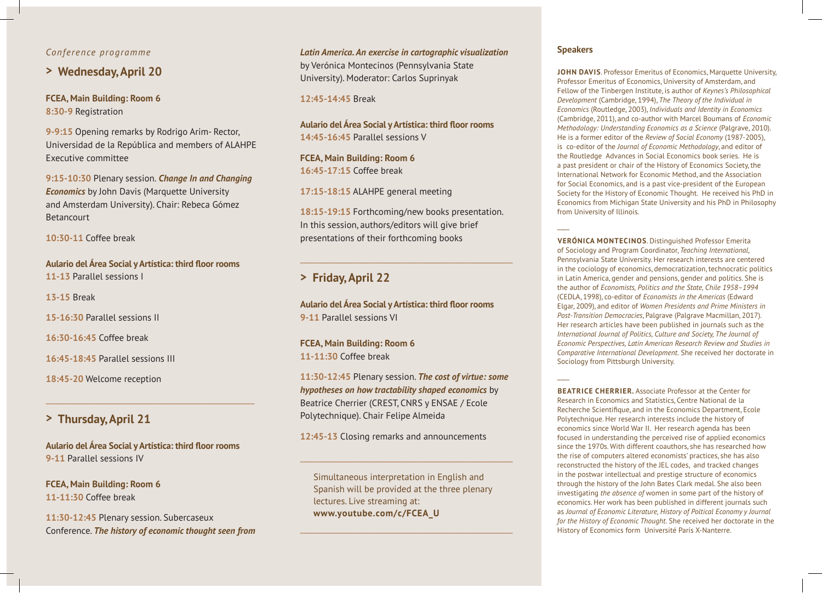#### *Conference programme*

### **> Wednesday, April 20**

**FCEA, Main Building: Room 6 8:30-9** Registration

**9-9:15** Opening remarks by Rodrigo Arim- Rector, Universidad de la República and members of ALAHPE Executive committee

**9:15-10:30** Plenary session. *Change In and Changing Economics* by John Davis (Marquette University and Amsterdam University). Chair: Rebeca Gómez **Betancourt** 

**10:30-11** Coffee break

**Aulario del Área Social y Artística: third floor rooms 11-13** Parallel sessions I

**13-15** Break

**15-16:30** Parallel sessions II

**16:30-16:45** Coffee break

**16:45-18:45** Parallel sessions III

**18:45-20** Welcome reception

### **> Thursday, April 21**

**Aulario del Área Social y Artística: third floor rooms 9-11** Parallel sessions IV

\_\_\_\_\_\_\_\_\_\_\_\_\_\_\_\_\_\_\_\_\_\_\_\_\_\_\_\_\_\_\_\_\_\_\_\_\_\_\_\_\_\_\_\_\_\_\_\_\_\_\_\_\_\_\_

**FCEA, Main Building: Room 6 11-11:30** Coffee break

**11:30-12:45** Plenary session. Subercaseux Conference. *The history of economic thought seen from* 

*Latin America. An exercise in cartographic visualization*  by Verónica Montecinos (Pennsylvania State University). Moderator: Carlos Suprinyak

**12:45-14:45** Break

**Aulario del Área Social y Artística: third floor rooms 14:45-16:45** Parallel sessions V

**FCEA, Main Building: Room 6 16:45-17:15** Coffee break

**17:15-18:15** ALAHPE general meeting

**18:15-19:15** Forthcoming/new books presentation. In this session, authors/editors will give brief presentations of their forthcoming books

 $\Box$  , and the set of the set of the set of the set of the set of the set of the set of the set of the set of the set of the set of the set of the set of the set of the set of the set of the set of the set of the set of t

## **> Friday, April 22**

**Aulario del Área Social y Artística: third floor rooms 9-11** Parallel sessions VI

**FCEA, Main Building: Room 6 11-11:30** Coffee break

**11:30-12:45** Plenary session. *The cost of virtue: some hypotheses on how tractability shaped economics* by Beatrice Cherrier (CREST, CNRS y ENSAE / Ecole Polytechnique). Chair Felipe Almeida

**12:45-13** Closing remarks and announcements

Simultaneous interpretation in English and Spanish will be provided at the three plenary lectures. Live streaming at: **www.youtube.com/c/FCEA\_U**

 $\Box$  , and the set of the set of the set of the set of the set of the set of the set of the set of the set of the set of the set of the set of the set of the set of the set of the set of the set of the set of the set of t

 $\Box$  , and the set of the set of the set of the set of the set of the set of the set of the set of the set of the set of the set of the set of the set of the set of the set of the set of the set of the set of the set of t

#### **Speakers**

 $\overline{\phantom{a}}$ 

 $\overline{\phantom{a}}$ 

**JOHN DAVIS**. Professor Emeritus of Economics, Marquette University, Professor Emeritus of Economics, University of Amsterdam, and Fellow of the Tinbergen Institute, is author of *Keynes's Philosophical Development* (Cambridge, 1994), *The Theory of the Individual in Economics* (Routledge, 2003), *Individuals and Identity in Economics* (Cambridge, 2011), and co-author with Marcel Boumans of *Economic Methodology: Understanding Economics as a Science* (Palgrave, 2010). He is a former editor of the *Review of Social Economy* (1987-2005), is co-editor of the *Journal of Economic Methodology*, and editor of the Routledge Advances in Social Economics book series. He is a past president or chair of the History of Economics Society, the International Network for Economic Method, and the Association for Social Economics, and is a past vice-president of the European Society for the History of Economic Thought. He received his PhD in Economics from Michigan State University and his PhD in Philosophy from University of Illinois.

**VERÓNICA MONTECINOS**. Distinguished Professor Emerita of Sociology and Program Coordinator, *Teaching International*, Pennsylvania State University. Her research interests are centered in the cociology of economics, democratization, technocratic politics in Latin America, gender and pensions, gender and politics. She is the author of *Economists, Politics and the State, Chile 1958–1994* (CEDLA, 1998), co-editor of *Economists in the Americas* (Edward Elgar, 2009), and editor of *Women Presidents and Prime Ministers in Post-Transition Democracies*, Palgrave (Palgrave Macmillan, 2017). Her research articles have been published in journals such as the *International Journal of Politics, Culture and Society, The Journal of Economic Perspectives, Latin American Research Review and Studies in Comparative International Development.* She received her doctorate in Sociology from Pittsburgh University.

**BEATRICE CHERRIER.** Associate Professor at the Center for Research in Economics and Statistics, Centre National de la Recherche Scientifique, and in the Economics Department, Ecole Polytechnique. Her research interests include the history of economics since World War II. Her research agenda has been focused in understanding the perceived rise of applied economics since the 1970s. With different coauthors, she has researched how the rise of computers altered economists' practices, she has also reconstructed the history of the JEL codes, and tracked changes in the postwar intellectual and prestige structure of economics through the history of the John Bates Clark medal. She also been investigating *the absence of* women in some part of the history of economics. Her work has been published in different journals such as *Journal of Economic Literature, History of Poltical Economy y Journal for the History of Economic Thought.* She received her doctorate in the History of Economics form Université París X-Nanterre.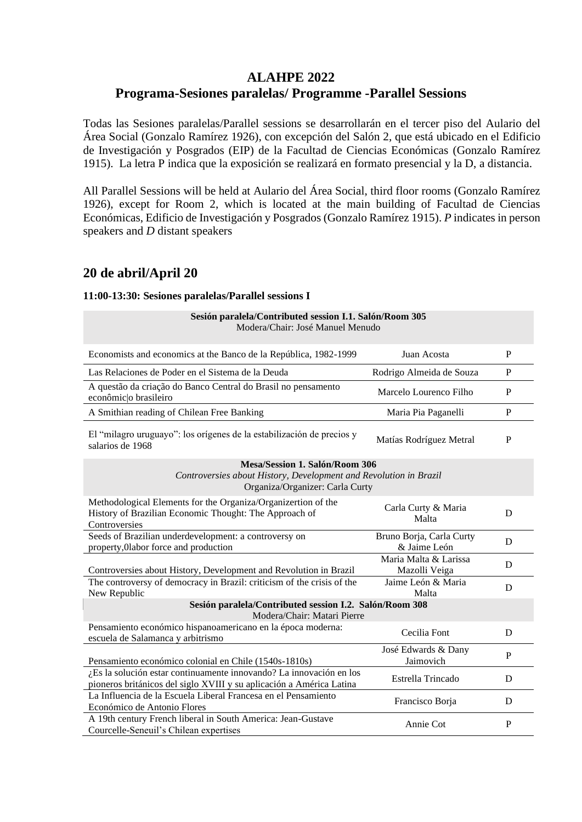# **ALAHPE 2022**

## **Programa-Sesiones paralelas/ Programme -Parallel Sessions**

Todas las Sesiones paralelas/Parallel sessions se desarrollarán en el tercer piso del Aulario del Área Social (Gonzalo Ramírez 1926), con excepción del Salón 2, que está ubicado en el Edificio de Investigación y Posgrados (EIP) de la Facultad de Ciencias Económicas (Gonzalo Ramírez 1915). La letra P indica que la exposición se realizará en formato presencial y la D, a distancia.

All Parallel Sessions will be held at Aulario del Área Social, third floor rooms (Gonzalo Ramírez 1926), except for Room 2, which is located at the main building of Facultad de Ciencias Económicas, Edificio de Investigación y Posgrados (Gonzalo Ramírez 1915). *P* indicates in person speakers and *D* distant speakers

# **20 de abril/April 20**

### **11:00-13:30: Sesiones paralelas/Parallel sessions I**

| Sesión paralela/Contributed session I.1. Salón/Room 305<br>Modera/Chair: José Manuel Menudo                                                   |                                          |              |  |
|-----------------------------------------------------------------------------------------------------------------------------------------------|------------------------------------------|--------------|--|
| Economists and economics at the Banco de la República, 1982-1999                                                                              | Juan Acosta                              | P            |  |
| Las Relaciones de Poder en el Sistema de la Deuda                                                                                             | Rodrigo Almeida de Souza                 | P            |  |
| A questão da criação do Banco Central do Brasil no pensamento<br>econômic o brasileiro                                                        | Marcelo Lourenco Filho                   | $\mathbf{P}$ |  |
| A Smithian reading of Chilean Free Banking                                                                                                    | Maria Pia Paganelli                      | P            |  |
| El "milagro uruguayo": los orígenes de la estabilización de precios y<br>salarios de 1968                                                     | Matías Rodríguez Metral                  | $\mathbf{P}$ |  |
| <b>Mesa/Session 1. Salón/Room 306</b><br>Controversies about History, Development and Revolution in Brazil<br>Organiza/Organizer: Carla Curty |                                          |              |  |
| Methodological Elements for the Organiza/Organizertion of the<br>History of Brazilian Economic Thought: The Approach of<br>Controversies      | Carla Curty & Maria<br>Malta             | D            |  |
| Seeds of Brazilian underdevelopment: a controversy on<br>property, Olabor force and production                                                | Bruno Borja, Carla Curty<br>& Jaime León | D            |  |
| Controversies about History, Development and Revolution in Brazil                                                                             | Maria Malta & Larissa<br>Mazolli Veiga   | D            |  |
| The controversy of democracy in Brazil: criticism of the crisis of the<br>New Republic                                                        | Jaime León & Maria<br>Malta              | D            |  |
| Sesión paralela/Contributed session I.2. Salón/Room 308<br>Modera/Chair: Matari Pierre                                                        |                                          |              |  |
| Pensamiento económico hispanoamericano en la época moderna:<br>escuela de Salamanca y arbitrismo                                              | Cecilia Font                             | D            |  |
| Pensamiento económico colonial en Chile (1540s-1810s)                                                                                         | José Edwards & Dany<br>Jaimovich         | P            |  |
| ¿Es la solución estar continuamente innovando? La innovación en los<br>pioneros británicos del siglo XVIII y su aplicación a América Latina   | Estrella Trincado                        | D            |  |
| La Influencia de la Escuela Liberal Francesa en el Pensamiento<br>Económico de Antonio Flores                                                 | Francisco Borja                          | D            |  |
| A 19th century French liberal in South America: Jean-Gustave<br>Courcelle-Seneuil's Chilean expertises                                        | Annie Cot                                | P            |  |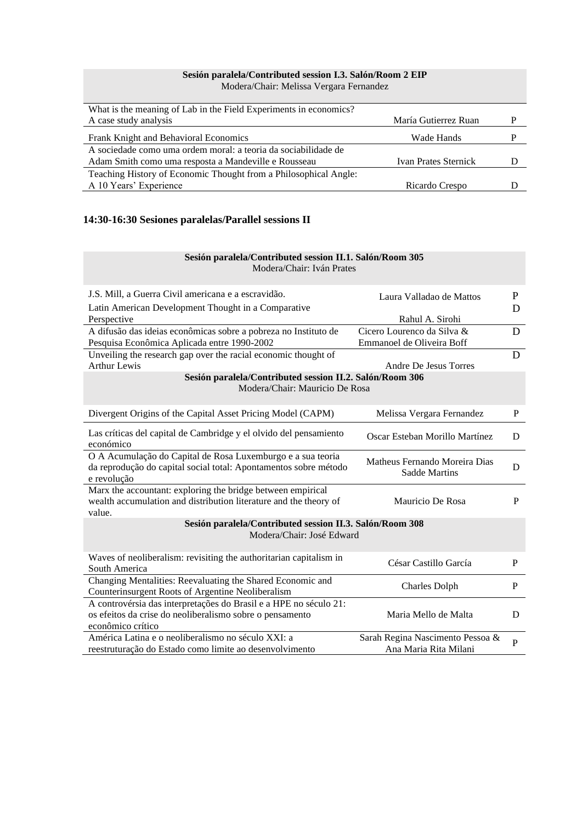# **Sesión paralela/Contributed session I.3. Salón/Room 2 EIP**

Modera/Chair: Melissa Vergara Fernandez

| What is the meaning of Lab in the Field Experiments in economics? |                             |  |
|-------------------------------------------------------------------|-----------------------------|--|
| A case study analysis                                             | María Gutierrez Ruan        |  |
| Frank Knight and Behavioral Economics                             | Wade Hands                  |  |
| A sociedade como uma ordem moral: a teoria da sociabilidade de    |                             |  |
| Adam Smith como uma resposta a Mandeville e Rousseau              | <b>Ivan Prates Sternick</b> |  |
| Teaching History of Economic Thought from a Philosophical Angle:  |                             |  |
| A 10 Years' Experience                                            | Ricardo Crespo              |  |

### **14:30-16:30 Sesiones paralelas/Parallel sessions II**

#### **Sesión paralela/Contributed session II.1. Salón/Room 305** Modera/Chair: Iván Prates

| J.S. Mill, a Guerra Civil americana e a escravidão.                                                                                            | Laura Valladao de Mattos                              | P            |
|------------------------------------------------------------------------------------------------------------------------------------------------|-------------------------------------------------------|--------------|
| Latin American Development Thought in a Comparative                                                                                            |                                                       | D            |
| Perspective                                                                                                                                    | Rahul A. Sirohi                                       |              |
| A difusão das ideias econômicas sobre a pobreza no Instituto de                                                                                | Cicero Lourenco da Silva &                            | D            |
| Pesquisa Econômica Aplicada entre 1990-2002                                                                                                    | Emmanoel de Oliveira Boff                             |              |
| Unveiling the research gap over the racial economic thought of                                                                                 |                                                       | D            |
| <b>Arthur Lewis</b>                                                                                                                            | Andre De Jesus Torres                                 |              |
| Sesión paralela/Contributed session II.2. Salón/Room 306                                                                                       |                                                       |              |
| Modera/Chair: Mauricio De Rosa                                                                                                                 |                                                       |              |
| Divergent Origins of the Capital Asset Pricing Model (CAPM)                                                                                    | Melissa Vergara Fernandez                             | P            |
| Las críticas del capital de Cambridge y el olvido del pensamiento<br>económico                                                                 | Oscar Esteban Morillo Martínez                        | D            |
| O A Acumulação do Capital de Rosa Luxemburgo e a sua teoria<br>da reprodução do capital social total: Apontamentos sobre método<br>e revolução | Matheus Fernando Moreira Dias<br><b>Sadde Martins</b> | D            |
| Marx the accountant: exploring the bridge between empirical<br>wealth accumulation and distribution literature and the theory of<br>value.     | Mauricio De Rosa                                      | P            |
| Sesión paralela/Contributed session II.3. Salón/Room 308                                                                                       |                                                       |              |
| Modera/Chair: José Edward                                                                                                                      |                                                       |              |
|                                                                                                                                                |                                                       |              |
| Waves of neoliberalism: revisiting the authoritarian capitalism in                                                                             | César Castillo García                                 | P            |
| South America                                                                                                                                  |                                                       |              |
| Changing Mentalities: Reevaluating the Shared Economic and<br>Counterinsurgent Roots of Argentine Neoliberalism                                | <b>Charles Dolph</b>                                  | $\mathbf{P}$ |
| A controvérsia das interpretações do Brasil e a HPE no século 21:                                                                              |                                                       |              |
| os efeitos da crise do neoliberalismo sobre o pensamento                                                                                       | Maria Mello de Malta                                  | D            |
| econômico crítico                                                                                                                              |                                                       |              |
| América Latina e o neoliberalismo no século XXI: a                                                                                             | Sarah Regina Nascimento Pessoa &                      | $\mathbf{P}$ |
| reestruturação do Estado como limite ao desenvolvimento                                                                                        | Ana Maria Rita Milani                                 |              |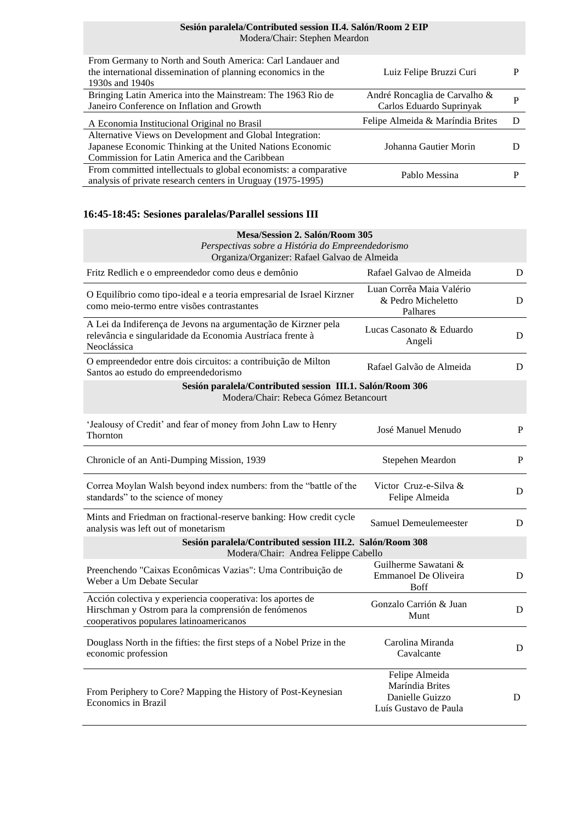### **Sesión paralela/Contributed session II.4. Salón/Room 2 EIP** Modera/Chair: Stephen Meardon

| From Germany to North and South America: Carl Landauer and<br>the international dissemination of planning economics in the<br>1930s and 1940s | Luiz Felipe Bruzzi Curi          | P |
|-----------------------------------------------------------------------------------------------------------------------------------------------|----------------------------------|---|
| Bringing Latin America into the Mainstream: The 1963 Rio de                                                                                   | André Roncaglia de Carvalho &    | P |
| Janeiro Conference on Inflation and Growth                                                                                                    | Carlos Eduardo Suprinyak         |   |
| A Economia Institucional Original no Brasil                                                                                                   | Felipe Almeida & Maríndia Brites | Ð |
| Alternative Views on Development and Global Integration:                                                                                      |                                  |   |
| Japanese Economic Thinking at the United Nations Economic                                                                                     | Johanna Gautier Morin            |   |
| Commission for Latin America and the Caribbean                                                                                                |                                  |   |
| From committed intellectuals to global economists: a comparative                                                                              |                                  |   |
| analysis of private research centers in Uruguay (1975-1995)                                                                                   | Pablo Messina                    |   |

## **16:45-18:45: Sesiones paralelas/Parallel sessions III**

| Mesa/Session 2. Salón/Room 305                                                                                                                               |                                                                               |   |  |
|--------------------------------------------------------------------------------------------------------------------------------------------------------------|-------------------------------------------------------------------------------|---|--|
| Perspectivas sobre a História do Empreendedorismo<br>Organiza/Organizer: Rafael Galvao de Almeida                                                            |                                                                               |   |  |
| Fritz Redlich e o empreendedor como deus e demônio                                                                                                           | Rafael Galvao de Almeida                                                      | D |  |
| O Equilíbrio como tipo-ideal e a teoria empresarial de Israel Kirzner<br>como meio-termo entre visões contrastantes                                          | Luan Corrêa Maia Valério<br>& Pedro Micheletto<br>Palhares                    | D |  |
| A Lei da Indiferença de Jevons na argumentação de Kirzner pela<br>relevância e singularidade da Economia Austríaca frente à<br>Neoclássica                   | Lucas Casonato & Eduardo<br>Angeli                                            | D |  |
| O empreendedor entre dois circuitos: a contribuição de Milton<br>Santos ao estudo do empreendedorismo                                                        | Rafael Galvão de Almeida                                                      | D |  |
| Sesión paralela/Contributed session III.1. Salón/Room 306                                                                                                    |                                                                               |   |  |
| Modera/Chair: Rebeca Gómez Betancourt                                                                                                                        |                                                                               |   |  |
| 'Jealousy of Credit' and fear of money from John Law to Henry<br>Thornton                                                                                    | José Manuel Menudo                                                            | P |  |
| Chronicle of an Anti-Dumping Mission, 1939                                                                                                                   | Stepehen Meardon                                                              | P |  |
| Correa Moylan Walsh beyond index numbers: from the "battle of the<br>standards" to the science of money                                                      | Victor Cruz-e-Silva &<br>Felipe Almeida                                       | D |  |
| Mints and Friedman on fractional-reserve banking: How credit cycle<br>analysis was left out of monetarism                                                    | Samuel Demeulemeester                                                         | D |  |
| Sesión paralela/Contributed session III.2. Salón/Room 308<br>Modera/Chair: Andrea Felippe Cabello                                                            |                                                                               |   |  |
| Preenchendo "Caixas Econômicas Vazias": Uma Contribuição de<br>Weber a Um Debate Secular                                                                     | Guilherme Sawatani &<br><b>Emmanoel De Oliveira</b><br><b>Boff</b>            | D |  |
| Acción colectiva y experiencia cooperativa: los aportes de<br>Hirschman y Ostrom para la comprensión de fenómenos<br>cooperativos populares latinoamericanos | Gonzalo Carrión & Juan<br>Munt                                                | D |  |
| Douglass North in the fifties: the first steps of a Nobel Prize in the<br>economic profession                                                                | Carolina Miranda<br>Cavalcante                                                | D |  |
| From Periphery to Core? Mapping the History of Post-Keynesian<br>Economics in Brazil                                                                         | Felipe Almeida<br>Maríndia Brites<br>Danielle Guizzo<br>Luís Gustavo de Paula | D |  |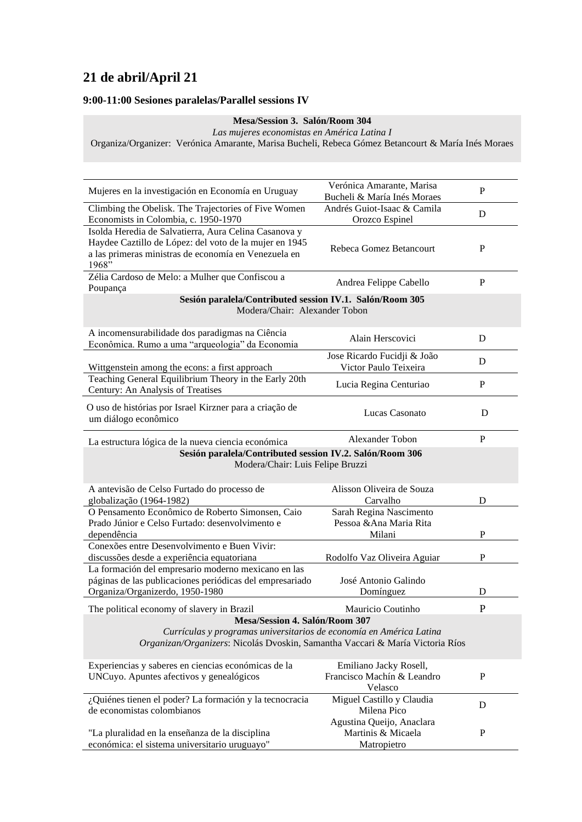# **21 de abril/April 21**

### **9:00-11:00 Sesiones paralelas/Parallel sessions IV**

#### **Mesa/Session 3. Salón/Room 304**

*Las mujeres economistas en América Latina I*

Organiza/Organizer: Verónica Amarante, Marisa Bucheli, Rebeca Gómez Betancourt & María Inés Moraes

| Mujeres en la investigación en Economía en Uruguay                                                                                                                                     | Verónica Amarante, Marisa<br>Bucheli & María Inés Moraes        | P            |
|----------------------------------------------------------------------------------------------------------------------------------------------------------------------------------------|-----------------------------------------------------------------|--------------|
| Climbing the Obelisk. The Trajectories of Five Women<br>Economists in Colombia, c. 1950-1970                                                                                           | Andrés Guiot-Isaac & Camila<br>Orozco Espinel                   | D            |
| Isolda Heredia de Salvatierra, Aura Celina Casanova y<br>Haydee Caztillo de López: del voto de la mujer en 1945<br>a las primeras ministras de economía en Venezuela en<br>1968"       | Rebeca Gomez Betancourt                                         | $\mathbf{P}$ |
| Zélia Cardoso de Melo: a Mulher que Confiscou a<br>Poupança                                                                                                                            | Andrea Felippe Cabello                                          | P            |
| Sesión paralela/Contributed session IV.1. Salón/Room 305<br>Modera/Chair: Alexander Tobon                                                                                              |                                                                 |              |
| A incomensurabilidade dos paradigmas na Ciência<br>Econômica. Rumo a uma "arqueologia" da Economia                                                                                     | Alain Herscovici                                                | D            |
| Wittgenstein among the econs: a first approach                                                                                                                                         | Jose Ricardo Fucidji & João<br>Victor Paulo Teixeira            | D            |
| Teaching General Equilibrium Theory in the Early 20th<br>Century: An Analysis of Treatises                                                                                             | Lucia Regina Centuriao                                          | P            |
| O uso de histórias por Israel Kirzner para a criação de<br>um diálogo econômico                                                                                                        | Lucas Casonato                                                  | D            |
| La estructura lógica de la nueva ciencia económica                                                                                                                                     | Alexander Tobon                                                 | P            |
| Sesión paralela/Contributed session IV.2. Salón/Room 306<br>Modera/Chair: Luis Felipe Bruzzi                                                                                           |                                                                 |              |
| A antevisão de Celso Furtado do processo de<br>globalização (1964-1982)                                                                                                                | Alisson Oliveira de Souza<br>Carvalho                           | D            |
| O Pensamento Econômico de Roberto Simonsen, Caio<br>Prado Júnior e Celso Furtado: desenvolvimento e<br>dependência                                                                     | Sarah Regina Nascimento<br>Pessoa & Ana Maria Rita<br>Milani    | P            |
| Conexões entre Desenvolvimento e Buen Vivir:<br>discussões desde a experiência equatoriana                                                                                             | Rodolfo Vaz Oliveira Aguiar                                     | $\mathbf P$  |
| La formación del empresario moderno mexicano en las<br>páginas de las publicaciones periódicas del empresariado<br>Organiza/Organizerdo, 1950-1980                                     | José Antonio Galindo<br>Domínguez                               | D            |
| The political economy of slavery in Brazil                                                                                                                                             | Mauricio Coutinho                                               | P            |
| Mesa/Session 4. Salón/Room 307<br>Currículas y programas universitarios de economía en América Latina<br>Organizan/Organizers: Nicolás Dvoskin, Samantha Vaccari & María Victoria Ríos |                                                                 |              |
| Experiencias y saberes en ciencias económicas de la<br>UNCuyo. Apuntes afectivos y genealógicos                                                                                        | Emiliano Jacky Rosell,<br>Francisco Machín & Leandro<br>Velasco | P            |
| ¿Quiénes tienen el poder? La formación y la tecnocracia<br>de economistas colombianos                                                                                                  | Miguel Castillo y Claudia<br>Milena Pico                        | D            |
| "La pluralidad en la enseñanza de la disciplina<br>económica: el sistema universitario uruguayo"                                                                                       | Agustina Queijo, Anaclara<br>Martinis & Micaela<br>Matropietro  | P            |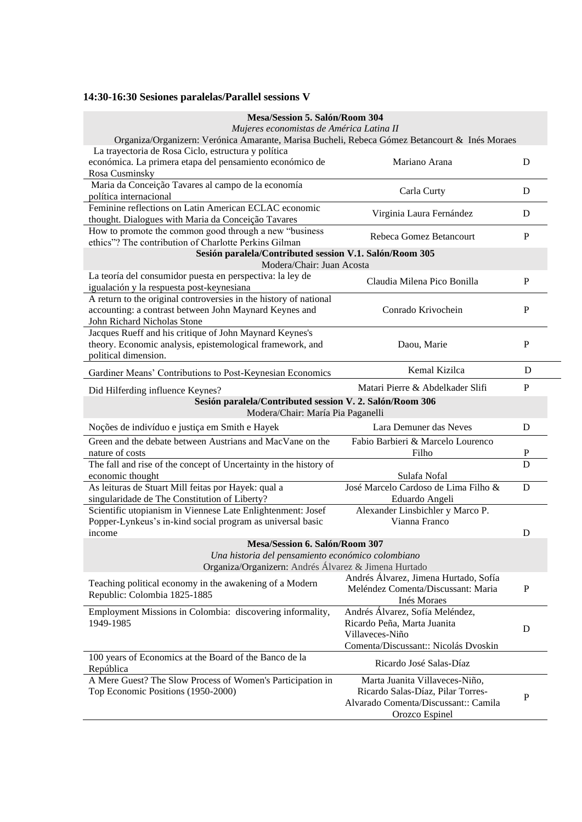## **14:30-16:30 Sesiones paralelas/Parallel sessions V**

| Mesa/Session 5. Salón/Room 304                                                                |                                                        |                |
|-----------------------------------------------------------------------------------------------|--------------------------------------------------------|----------------|
| Mujeres economistas de América Latina II                                                      |                                                        |                |
| Organiza/Organizern: Verónica Amarante, Marisa Bucheli, Rebeca Gómez Betancourt & Inés Moraes |                                                        |                |
| La trayectoria de Rosa Ciclo, estructura y política                                           |                                                        |                |
| económica. La primera etapa del pensamiento económico de                                      | Mariano Arana                                          | D              |
| Rosa Cusminsky                                                                                |                                                        |                |
| Maria da Conceição Tavares al campo de la economía                                            | Carla Curty                                            | D              |
| política internacional                                                                        |                                                        |                |
| Feminine reflections on Latin American ECLAC economic                                         |                                                        |                |
| thought. Dialogues with Maria da Conceição Tavares                                            | Virginia Laura Fernández                               | D              |
| How to promote the common good through a new "business                                        | Rebeca Gomez Betancourt                                | P              |
| ethics"? The contribution of Charlotte Perkins Gilman                                         |                                                        |                |
| Sesión paralela/Contributed session V.1. Salón/Room 305                                       |                                                        |                |
| Modera/Chair: Juan Acosta                                                                     |                                                        |                |
| La teoría del consumidor puesta en perspectiva: la ley de                                     | Claudia Milena Pico Bonilla                            | P              |
| igualación y la respuesta post-keynesiana                                                     |                                                        |                |
| A return to the original controversies in the history of national                             |                                                        |                |
| accounting: a contrast between John Maynard Keynes and                                        | Conrado Krivochein                                     | P              |
| John Richard Nicholas Stone                                                                   |                                                        |                |
| Jacques Rueff and his critique of John Maynard Keynes's                                       |                                                        |                |
| theory. Economic analysis, epistemological framework, and                                     | Daou, Marie                                            | P              |
| political dimension.                                                                          |                                                        |                |
|                                                                                               | Kemal Kizilca                                          | D              |
| Gardiner Means' Contributions to Post-Keynesian Economics                                     |                                                        |                |
| Did Hilferding influence Keynes?                                                              | Matari Pierre & Abdelkader Slifi                       | P              |
| Sesión paralela/Contributed session V. 2. Salón/Room 306                                      |                                                        |                |
| Modera/Chair: María Pia Paganelli                                                             |                                                        |                |
|                                                                                               |                                                        |                |
| Noções de indivíduo e justiça em Smith e Hayek                                                | Lara Demuner das Neves                                 | D              |
| Green and the debate between Austrians and MacVane on the                                     | Fabio Barbieri & Marcelo Lourenco                      |                |
| nature of costs                                                                               | Filho                                                  |                |
| The fall and rise of the concept of Uncertainty in the history of                             |                                                        | $\overline{D}$ |
| economic thought                                                                              | Sulafa Nofal                                           |                |
| As leituras de Stuart Mill feitas por Hayek: qual a                                           | José Marcelo Cardoso de Lima Filho &                   | D              |
| singularidade de The Constitution of Liberty?                                                 | Eduardo Angeli                                         |                |
| Scientific utopianism in Viennese Late Enlightenment: Josef                                   | Alexander Linsbichler y Marco P.                       |                |
| Popper-Lynkeus's in-kind social program as universal basic                                    | Vianna Franco                                          |                |
| income                                                                                        |                                                        | D              |
| Mesa/Session 6. Salón/Room 307                                                                |                                                        |                |
| Una historia del pensamiento económico colombiano                                             |                                                        |                |
| Organiza/Organizern: Andrés Álvarez & Jimena Hurtado                                          |                                                        |                |
|                                                                                               | Andrés Álvarez, Jimena Hurtado, Sofía                  |                |
| Teaching political economy in the awakening of a Modern                                       | Meléndez Comenta/Discussant: Maria                     | P              |
| Republic: Colombia 1825-1885                                                                  | Inés Moraes                                            |                |
| Employment Missions in Colombia: discovering informality,                                     | Andrés Álvarez, Sofía Meléndez,                        |                |
| 1949-1985                                                                                     | Ricardo Peña, Marta Juanita                            |                |
|                                                                                               | Villaveces-Niño                                        | D              |
|                                                                                               | Comenta/Discussant:: Nicolás Dvoskin                   |                |
| 100 years of Economics at the Board of the Banco de la                                        |                                                        |                |
| República                                                                                     | Ricardo José Salas-Díaz                                |                |
| A Mere Guest? The Slow Process of Women's Participation in                                    | Marta Juanita Villaveces-Niño,                         |                |
| Top Economic Positions (1950-2000)                                                            | Ricardo Salas-Díaz, Pilar Torres-                      |                |
|                                                                                               | Alvarado Comenta/Discussant:: Camila<br>Orozco Espinel | $\mathbf{P}$   |